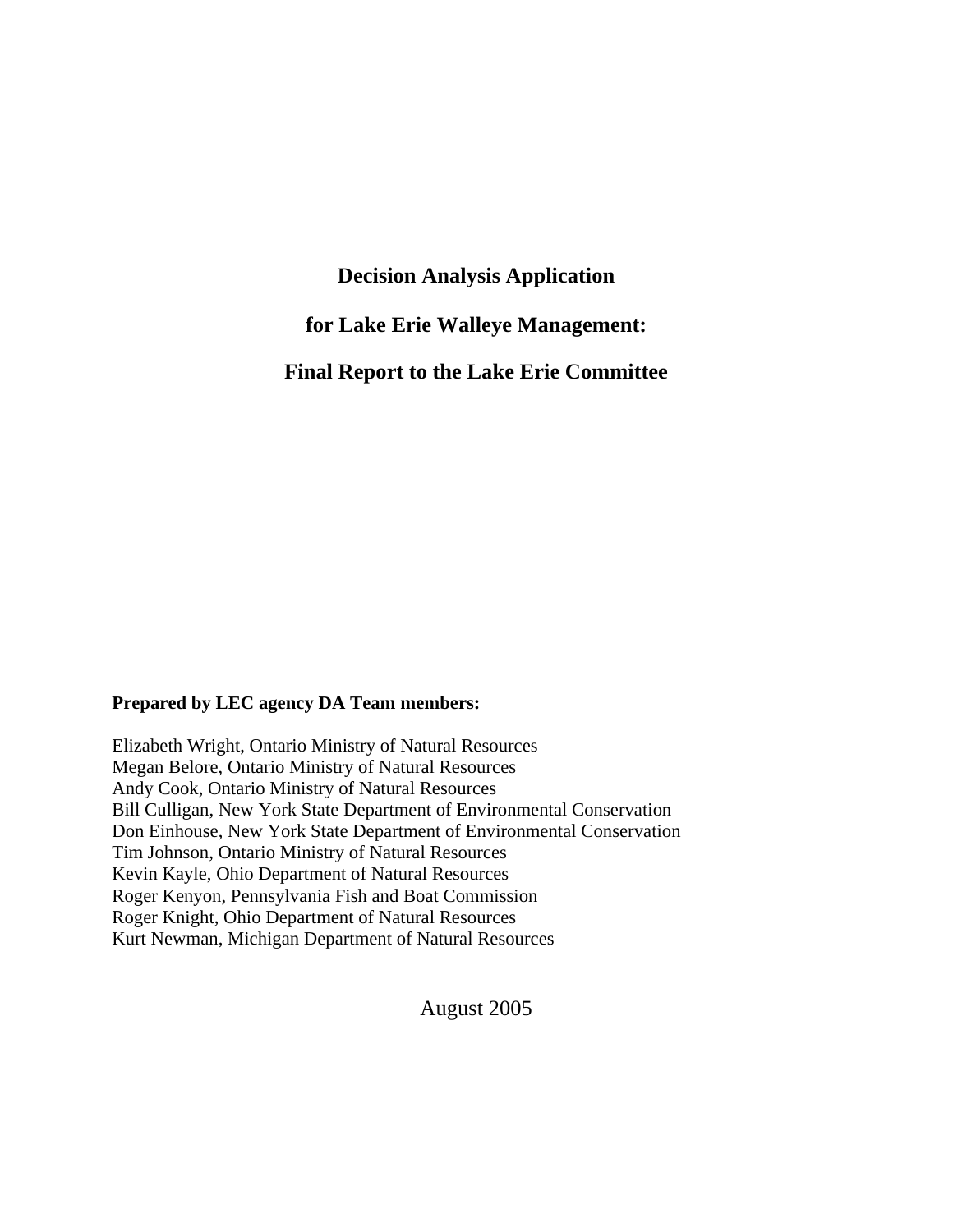# **Decision Analysis Application**

# **for Lake Erie Walleye Management:**

**Final Report to the Lake Erie Committee** 

#### **Prepared by LEC agency DA Team members:**

Elizabeth Wright, Ontario Ministry of Natural Resources Megan Belore, Ontario Ministry of Natural Resources Andy Cook, Ontario Ministry of Natural Resources Bill Culligan, New York State Department of Environmental Conservation Don Einhouse, New York State Department of Environmental Conservation Tim Johnson, Ontario Ministry of Natural Resources Kevin Kayle, Ohio Department of Natural Resources Roger Kenyon, Pennsylvania Fish and Boat Commission Roger Knight, Ohio Department of Natural Resources Kurt Newman, Michigan Department of Natural Resources

August 2005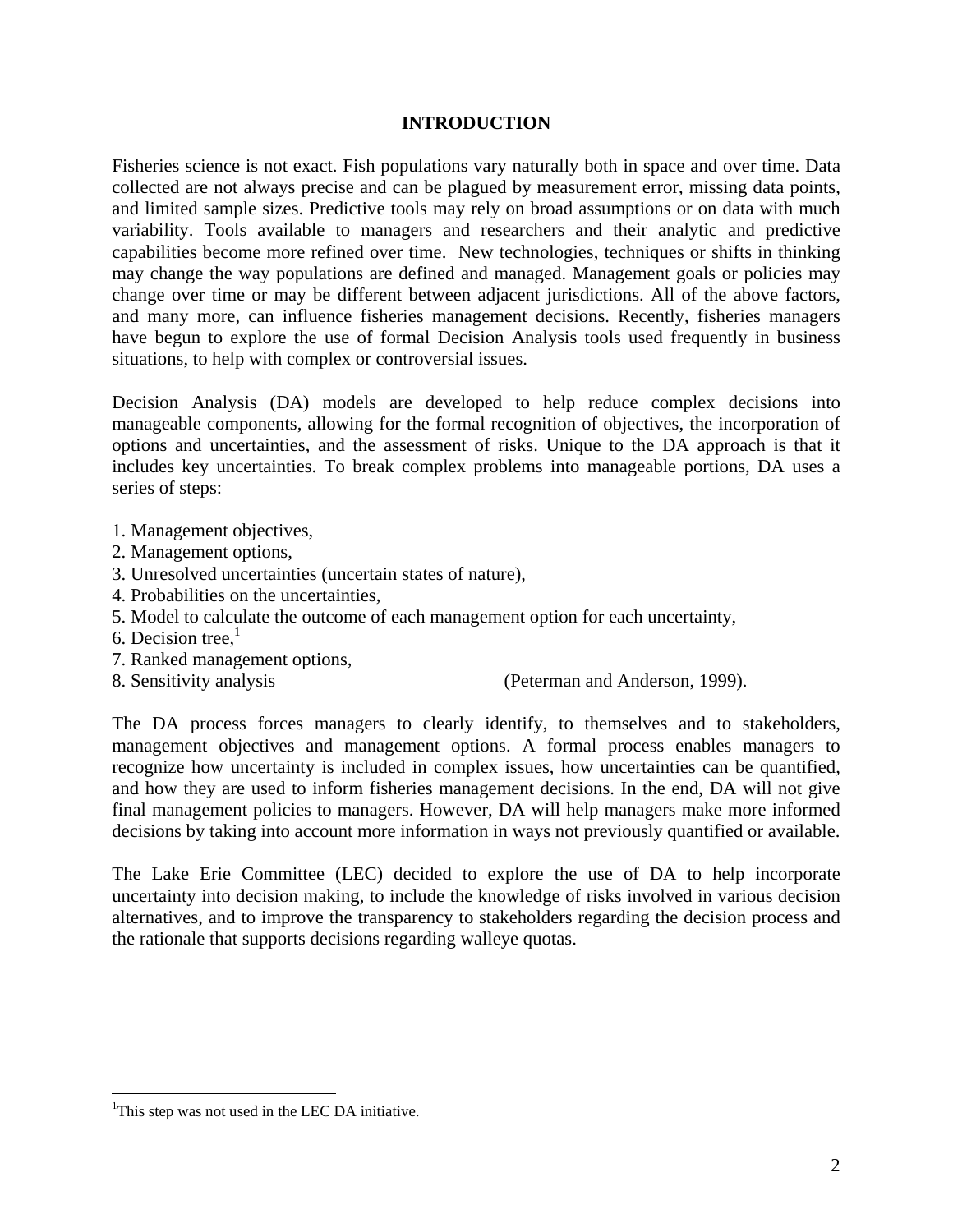# **INTRODUCTION**

Fisheries science is not exact. Fish populations vary naturally both in space and over time. Data collected are not always precise and can be plagued by measurement error, missing data points, and limited sample sizes. Predictive tools may rely on broad assumptions or on data with much variability. Tools available to managers and researchers and their analytic and predictive capabilities become more refined over time. New technologies, techniques or shifts in thinking may change the way populations are defined and managed. Management goals or policies may change over time or may be different between adjacent jurisdictions. All of the above factors, and many more, can influence fisheries management decisions. Recently, fisheries managers have begun to explore the use of formal Decision Analysis tools used frequently in business situations, to help with complex or controversial issues.

Decision Analysis (DA) models are developed to help reduce complex decisions into manageable components, allowing for the formal recognition of objectives, the incorporation of options and uncertainties, and the assessment of risks. Unique to the DA approach is that it includes key uncertainties. To break complex problems into manageable portions, DA uses a series of steps:

- 1. Management objectives,
- 2. Management options,
- 3. Unresolved uncertainties (uncertain states of nature),
- 4. Probabilities on the uncertainties,
- 5. Model to calculate the outcome of each management option for each uncertainty,
- 6. Decision tree. $<sup>1</sup>$  $<sup>1</sup>$  $<sup>1</sup>$ </sup>

1

- 7. Ranked management options,
- 

8. Sensitivity analysis (Peterman and Anderson, 1999).

The DA process forces managers to clearly identify, to themselves and to stakeholders, management objectives and management options. A formal process enables managers to recognize how uncertainty is included in complex issues, how uncertainties can be quantified, and how they are used to inform fisheries management decisions. In the end, DA will not give final management policies to managers. However, DA will help managers make more informed decisions by taking into account more information in ways not previously quantified or available.

The Lake Erie Committee (LEC) decided to explore the use of DA to help incorporate uncertainty into decision making, to include the knowledge of risks involved in various decision alternatives, and to improve the transparency to stakeholders regarding the decision process and the rationale that supports decisions regarding walleye quotas.

<span id="page-1-0"></span><sup>&</sup>lt;sup>1</sup>This step was not used in the LEC DA initiative.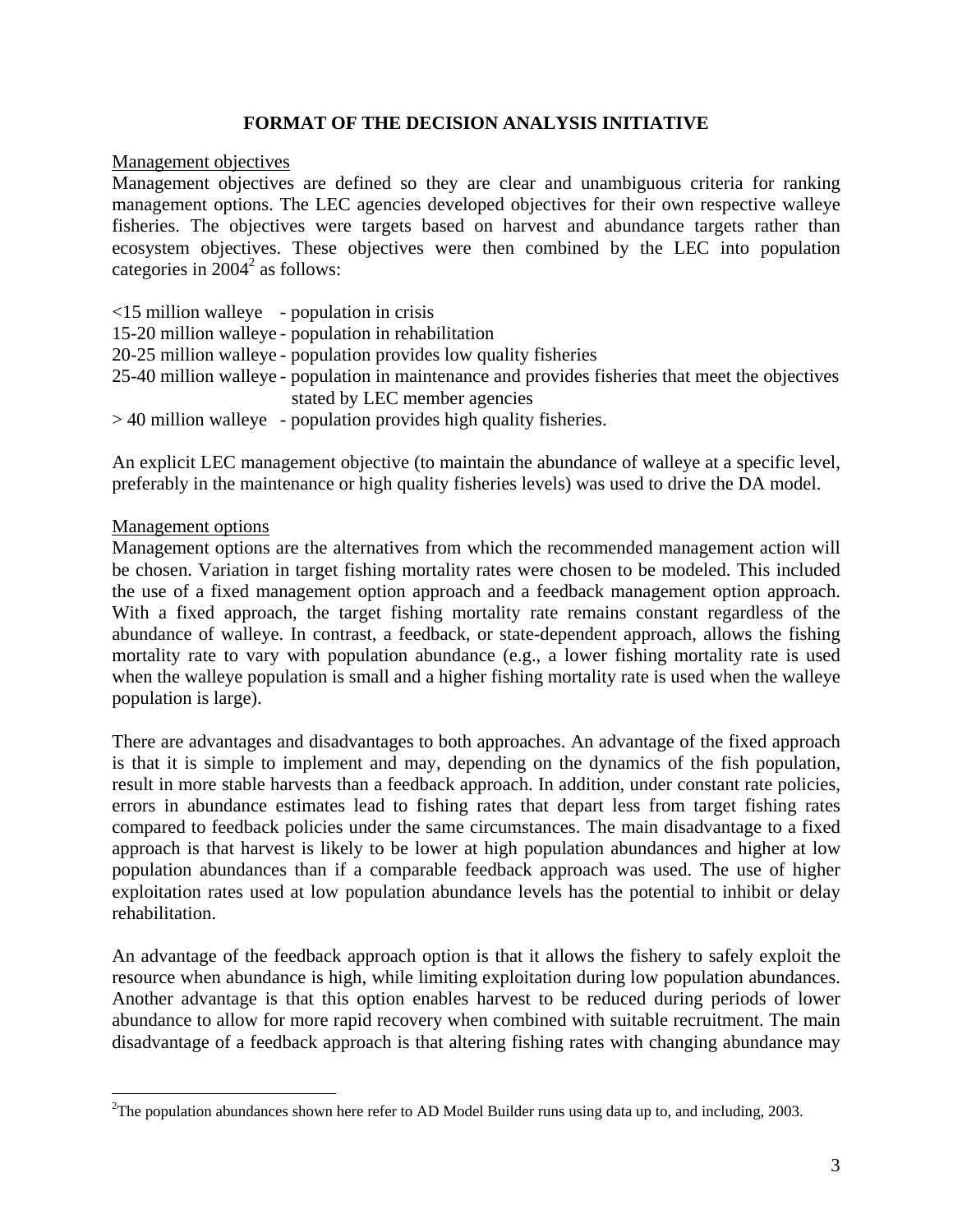# **FORMAT OF THE DECISION ANALYSIS INITIATIVE**

#### Management objectives

Management objectives are defined so they are clear and unambiguous criteria for ranking management options. The LEC agencies developed objectives for their own respective walleye fisheries. The objectives were targets based on harvest and abundance targets rather than ecosystem objectives. These objectives were then combined by the LEC into population categories in  $2004^2$  $2004^2$  as follows:

| $\le$ 15 million walleye - population in crisis                                                   |
|---------------------------------------------------------------------------------------------------|
| 15-20 million walleye - population in rehabilitation                                              |
| 20-25 million walleye - population provides low quality fisheries                                 |
| 25-40 million walleye - population in maintenance and provides fisheries that meet the objectives |
| stated by LEC member agencies                                                                     |
| $>$ 40 million walleye - population provides high quality fisheries.                              |

An explicit LEC management objective (to maintain the abundance of walleye at a specific level, preferably in the maintenance or high quality fisheries levels) was used to drive the DA model.

#### Management options

1

Management options are the alternatives from which the recommended management action will be chosen. Variation in target fishing mortality rates were chosen to be modeled. This included the use of a fixed management option approach and a feedback management option approach. With a fixed approach, the target fishing mortality rate remains constant regardless of the abundance of walleye. In contrast, a feedback, or state-dependent approach, allows the fishing mortality rate to vary with population abundance (e.g., a lower fishing mortality rate is used when the walleye population is small and a higher fishing mortality rate is used when the walleye population is large).

There are advantages and disadvantages to both approaches. An advantage of the fixed approach is that it is simple to implement and may, depending on the dynamics of the fish population, result in more stable harvests than a feedback approach. In addition, under constant rate policies, errors in abundance estimates lead to fishing rates that depart less from target fishing rates compared to feedback policies under the same circumstances. The main disadvantage to a fixed approach is that harvest is likely to be lower at high population abundances and higher at low population abundances than if a comparable feedback approach was used. The use of higher exploitation rates used at low population abundance levels has the potential to inhibit or delay rehabilitation.

An advantage of the feedback approach option is that it allows the fishery to safely exploit the resource when abundance is high, while limiting exploitation during low population abundances. Another advantage is that this option enables harvest to be reduced during periods of lower abundance to allow for more rapid recovery when combined with suitable recruitment. The main disadvantage of a feedback approach is that altering fishing rates with changing abundance may

<span id="page-2-0"></span><sup>&</sup>lt;sup>2</sup>The population abundances shown here refer to AD Model Builder runs using data up to, and including, 2003.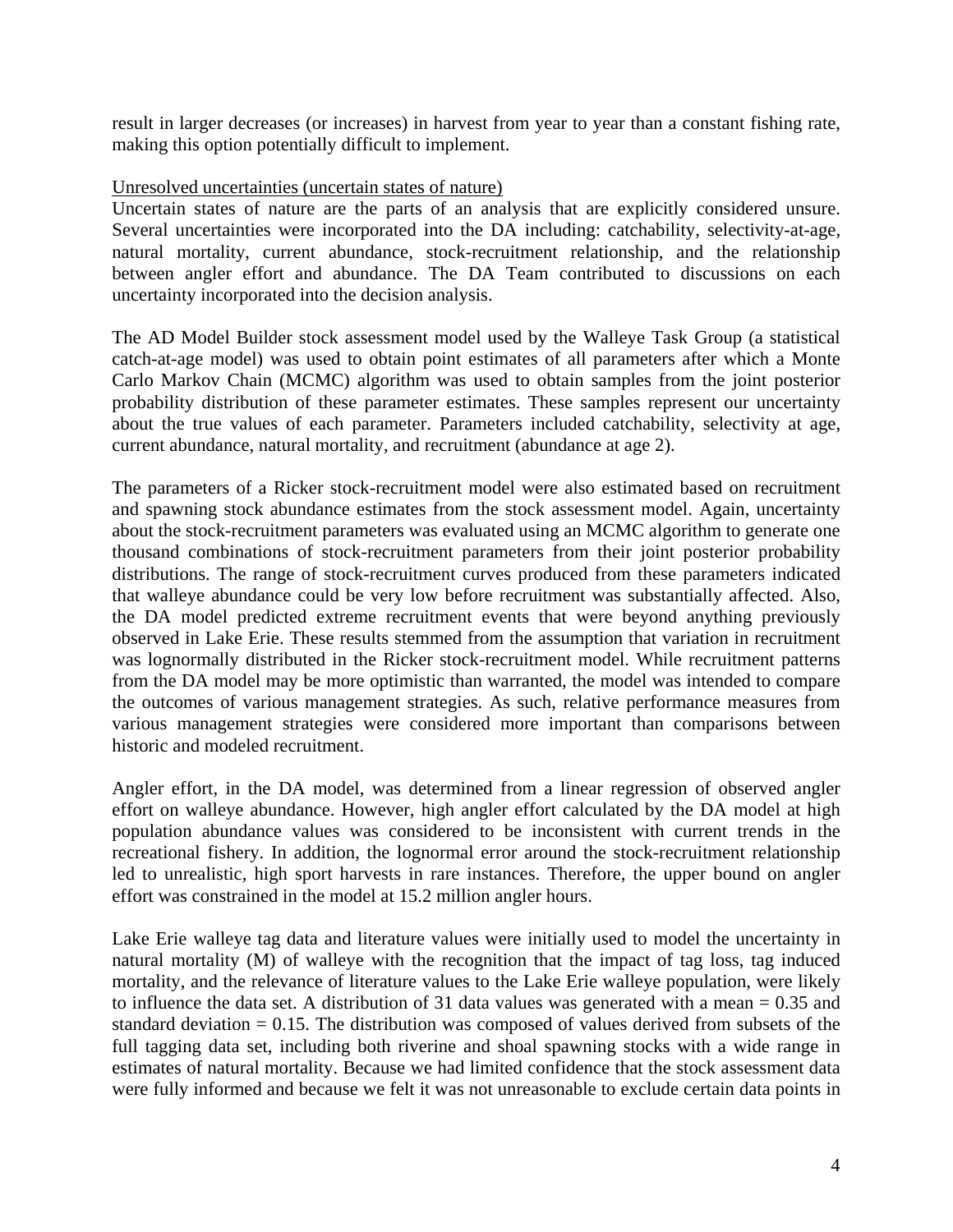result in larger decreases (or increases) in harvest from year to year than a constant fishing rate, making this option potentially difficult to implement.

#### Unresolved uncertainties (uncertain states of nature)

Uncertain states of nature are the parts of an analysis that are explicitly considered unsure. Several uncertainties were incorporated into the DA including: catchability, selectivity-at-age, natural mortality, current abundance, stock-recruitment relationship, and the relationship between angler effort and abundance. The DA Team contributed to discussions on each uncertainty incorporated into the decision analysis.

The AD Model Builder stock assessment model used by the Walleye Task Group (a statistical catch-at-age model) was used to obtain point estimates of all parameters after which a Monte Carlo Markov Chain (MCMC) algorithm was used to obtain samples from the joint posterior probability distribution of these parameter estimates. These samples represent our uncertainty about the true values of each parameter. Parameters included catchability, selectivity at age, current abundance, natural mortality, and recruitment (abundance at age 2).

The parameters of a Ricker stock-recruitment model were also estimated based on recruitment and spawning stock abundance estimates from the stock assessment model. Again, uncertainty about the stock-recruitment parameters was evaluated using an MCMC algorithm to generate one thousand combinations of stock-recruitment parameters from their joint posterior probability distributions. The range of stock-recruitment curves produced from these parameters indicated that walleye abundance could be very low before recruitment was substantially affected. Also, the DA model predicted extreme recruitment events that were beyond anything previously observed in Lake Erie. These results stemmed from the assumption that variation in recruitment was lognormally distributed in the Ricker stock-recruitment model. While recruitment patterns from the DA model may be more optimistic than warranted, the model was intended to compare the outcomes of various management strategies. As such, relative performance measures from various management strategies were considered more important than comparisons between historic and modeled recruitment.

Angler effort, in the DA model, was determined from a linear regression of observed angler effort on walleye abundance. However, high angler effort calculated by the DA model at high population abundance values was considered to be inconsistent with current trends in the recreational fishery. In addition, the lognormal error around the stock-recruitment relationship led to unrealistic, high sport harvests in rare instances. Therefore, the upper bound on angler effort was constrained in the model at 15.2 million angler hours.

Lake Erie walleye tag data and literature values were initially used to model the uncertainty in natural mortality (M) of walleye with the recognition that the impact of tag loss, tag induced mortality, and the relevance of literature values to the Lake Erie walleye population, were likely to influence the data set. A distribution of 31 data values was generated with a mean = 0.35 and standard deviation  $= 0.15$ . The distribution was composed of values derived from subsets of the full tagging data set, including both riverine and shoal spawning stocks with a wide range in estimates of natural mortality. Because we had limited confidence that the stock assessment data were fully informed and because we felt it was not unreasonable to exclude certain data points in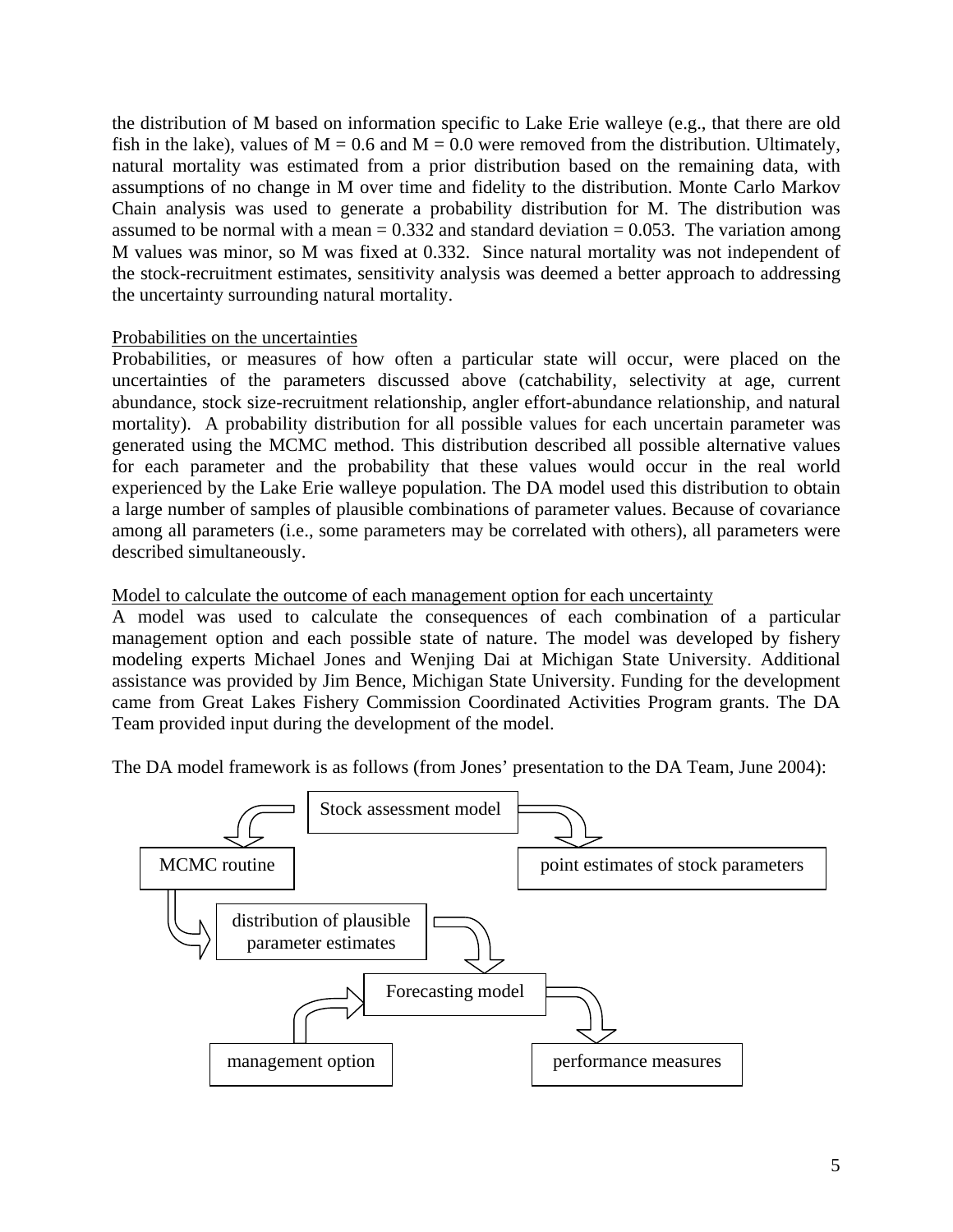the distribution of M based on information specific to Lake Erie walleye (e.g., that there are old fish in the lake), values of  $M = 0.6$  and  $M = 0.0$  were removed from the distribution. Ultimately, natural mortality was estimated from a prior distribution based on the remaining data, with assumptions of no change in M over time and fidelity to the distribution. Monte Carlo Markov Chain analysis was used to generate a probability distribution for M. The distribution was assumed to be normal with a mean  $= 0.332$  and standard deviation  $= 0.053$ . The variation among M values was minor, so M was fixed at 0.332. Since natural mortality was not independent of the stock-recruitment estimates, sensitivity analysis was deemed a better approach to addressing the uncertainty surrounding natural mortality.

# Probabilities on the uncertainties

Probabilities, or measures of how often a particular state will occur, were placed on the uncertainties of the parameters discussed above (catchability, selectivity at age, current abundance, stock size-recruitment relationship, angler effort-abundance relationship, and natural mortality). A probability distribution for all possible values for each uncertain parameter was generated using the MCMC method. This distribution described all possible alternative values for each parameter and the probability that these values would occur in the real world experienced by the Lake Erie walleye population. The DA model used this distribution to obtain a large number of samples of plausible combinations of parameter values. Because of covariance among all parameters (i.e., some parameters may be correlated with others), all parameters were described simultaneously.

# Model to calculate the outcome of each management option for each uncertainty

A model was used to calculate the consequences of each combination of a particular management option and each possible state of nature. The model was developed by fishery modeling experts Michael Jones and Wenjing Dai at Michigan State University. Additional assistance was provided by Jim Bence, Michigan State University. Funding for the development came from Great Lakes Fishery Commission Coordinated Activities Program grants. The DA Team provided input during the development of the model.

The DA model framework is as follows (from Jones' presentation to the DA Team, June 2004):

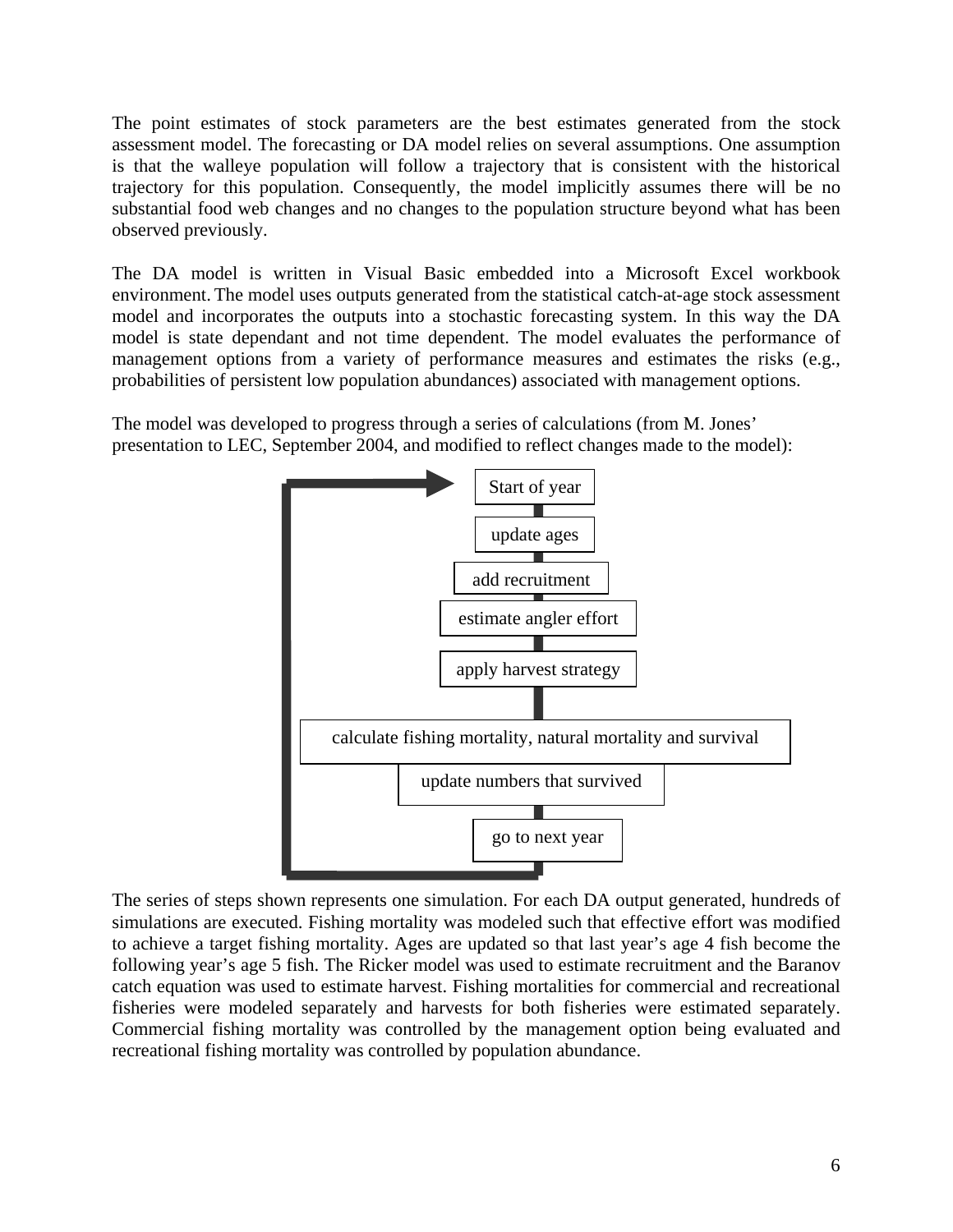The point estimates of stock parameters are the best estimates generated from the stock assessment model. The forecasting or DA model relies on several assumptions. One assumption is that the walleye population will follow a trajectory that is consistent with the historical trajectory for this population. Consequently, the model implicitly assumes there will be no substantial food web changes and no changes to the population structure beyond what has been observed previously.

The DA model is written in Visual Basic embedded into a Microsoft Excel workbook environment. The model uses outputs generated from the statistical catch-at-age stock assessment model and incorporates the outputs into a stochastic forecasting system. In this way the DA model is state dependant and not time dependent. The model evaluates the performance of management options from a variety of performance measures and estimates the risks (e.g., probabilities of persistent low population abundances) associated with management options.

The model was developed to progress through a series of calculations (from M. Jones' presentation to LEC, September 2004, and modified to reflect changes made to the model):



The series of steps shown represents one simulation. For each DA output generated, hundreds of simulations are executed. Fishing mortality was modeled such that effective effort was modified to achieve a target fishing mortality. Ages are updated so that last year's age 4 fish become the following year's age 5 fish. The Ricker model was used to estimate recruitment and the Baranov catch equation was used to estimate harvest. Fishing mortalities for commercial and recreational fisheries were modeled separately and harvests for both fisheries were estimated separately. Commercial fishing mortality was controlled by the management option being evaluated and recreational fishing mortality was controlled by population abundance.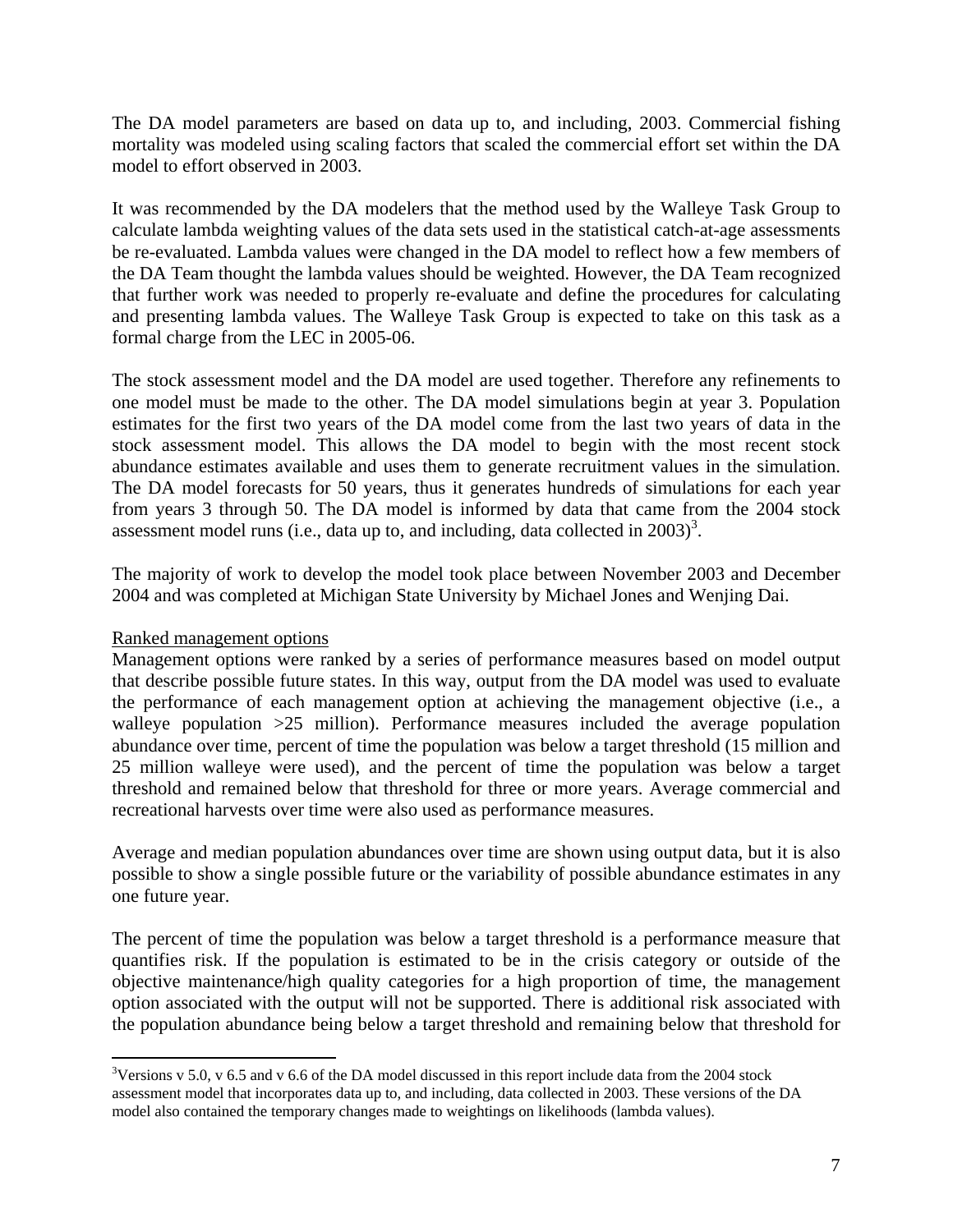The DA model parameters are based on data up to, and including, 2003. Commercial fishing mortality was modeled using scaling factors that scaled the commercial effort set within the DA model to effort observed in 2003.

It was recommended by the DA modelers that the method used by the Walleye Task Group to calculate lambda weighting values of the data sets used in the statistical catch-at-age assessments be re-evaluated. Lambda values were changed in the DA model to reflect how a few members of the DA Team thought the lambda values should be weighted. However, the DA Team recognized that further work was needed to properly re-evaluate and define the procedures for calculating and presenting lambda values. The Walleye Task Group is expected to take on this task as a formal charge from the LEC in 2005-06.

The stock assessment model and the DA model are used together. Therefore any refinements to one model must be made to the other. The DA model simulations begin at year 3. Population estimates for the first two years of the DA model come from the last two years of data in the stock assessment model. This allows the DA model to begin with the most recent stock abundance estimates available and uses them to generate recruitment values in the simulation. The DA model forecasts for 50 years, thus it generates hundreds of simulations for each year from years 3 through 50. The DA model is informed by data that came from the 2004 stock assessment model runs (i[.](#page-6-0)e., data up to, and including, data collected in  $2003$ )<sup>3</sup>.

The majority of work to develop the model took place between November 2003 and December 2004 and was completed at Michigan State University by Michael Jones and Wenjing Dai.

# Ranked management options

<u>.</u>

Management options were ranked by a series of performance measures based on model output that describe possible future states. In this way, output from the DA model was used to evaluate the performance of each management option at achieving the management objective (i.e., a walleye population  $>25$  million). Performance measures included the average population abundance over time, percent of time the population was below a target threshold (15 million and 25 million walleye were used), and the percent of time the population was below a target threshold and remained below that threshold for three or more years. Average commercial and recreational harvests over time were also used as performance measures.

Average and median population abundances over time are shown using output data, but it is also possible to show a single possible future or the variability of possible abundance estimates in any one future year.

The percent of time the population was below a target threshold is a performance measure that quantifies risk. If the population is estimated to be in the crisis category or outside of the objective maintenance/high quality categories for a high proportion of time, the management option associated with the output will not be supported. There is additional risk associated with the population abundance being below a target threshold and remaining below that threshold for

<span id="page-6-0"></span> $3$ Versions v 5.0, v 6.5 and v 6.6 of the DA model discussed in this report include data from the 2004 stock assessment model that incorporates data up to, and including, data collected in 2003. These versions of the DA model also contained the temporary changes made to weightings on likelihoods (lambda values).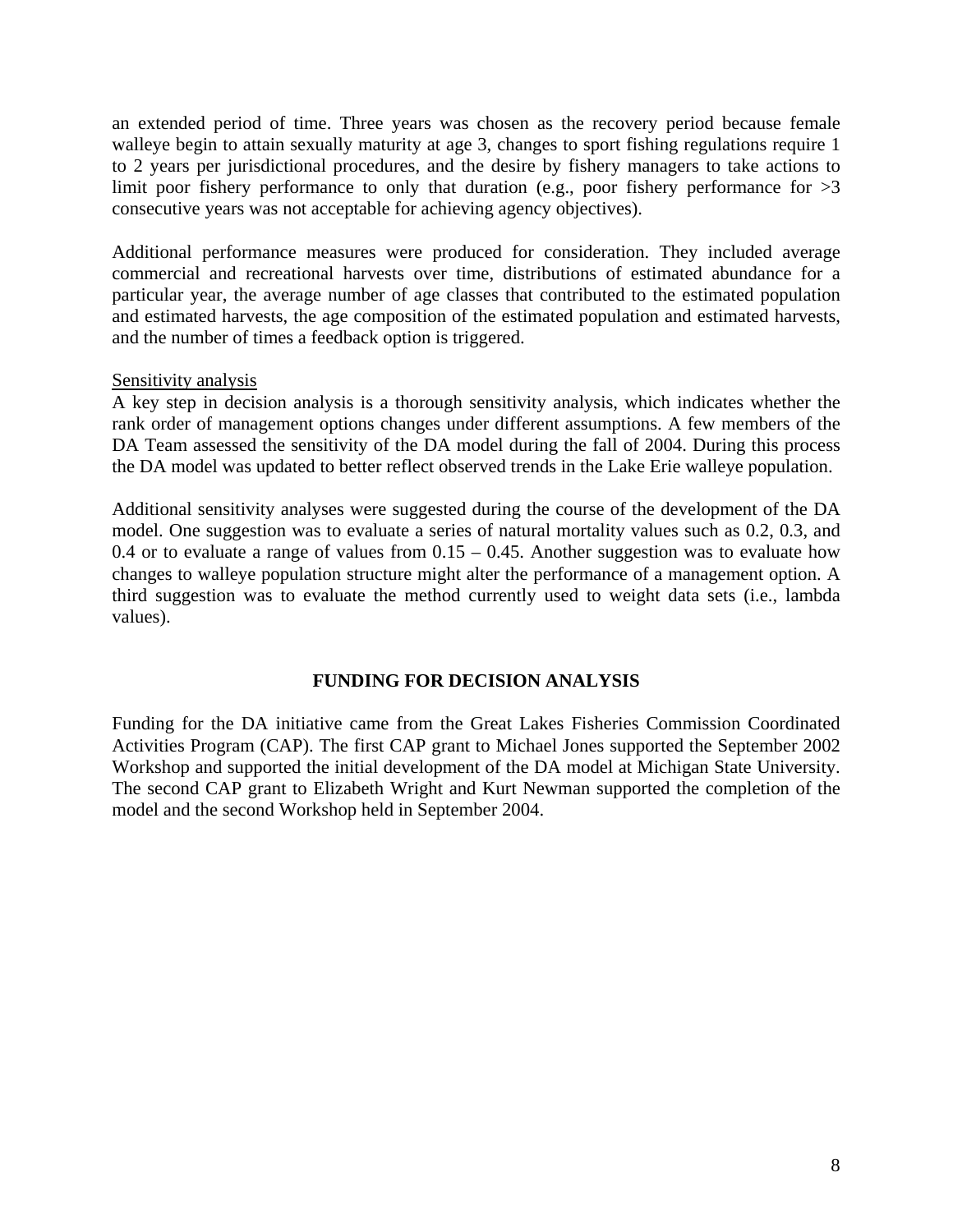an extended period of time. Three years was chosen as the recovery period because female walleye begin to attain sexually maturity at age 3, changes to sport fishing regulations require 1 to 2 years per jurisdictional procedures, and the desire by fishery managers to take actions to limit poor fishery performance to only that duration (e.g., poor fishery performance for  $>3$ consecutive years was not acceptable for achieving agency objectives).

Additional performance measures were produced for consideration. They included average commercial and recreational harvests over time, distributions of estimated abundance for a particular year, the average number of age classes that contributed to the estimated population and estimated harvests, the age composition of the estimated population and estimated harvests, and the number of times a feedback option is triggered.

## Sensitivity analysis

A key step in decision analysis is a thorough sensitivity analysis, which indicates whether the rank order of management options changes under different assumptions. A few members of the DA Team assessed the sensitivity of the DA model during the fall of 2004. During this process the DA model was updated to better reflect observed trends in the Lake Erie walleye population.

Additional sensitivity analyses were suggested during the course of the development of the DA model. One suggestion was to evaluate a series of natural mortality values such as 0.2, 0.3, and 0.4 or to evaluate a range of values from  $0.15 - 0.45$ . Another suggestion was to evaluate how changes to walleye population structure might alter the performance of a management option. A third suggestion was to evaluate the method currently used to weight data sets (i.e., lambda values).

## **FUNDING FOR DECISION ANALYSIS**

Funding for the DA initiative came from the Great Lakes Fisheries Commission Coordinated Activities Program (CAP). The first CAP grant to Michael Jones supported the September 2002 Workshop and supported the initial development of the DA model at Michigan State University. The second CAP grant to Elizabeth Wright and Kurt Newman supported the completion of the model and the second Workshop held in September 2004.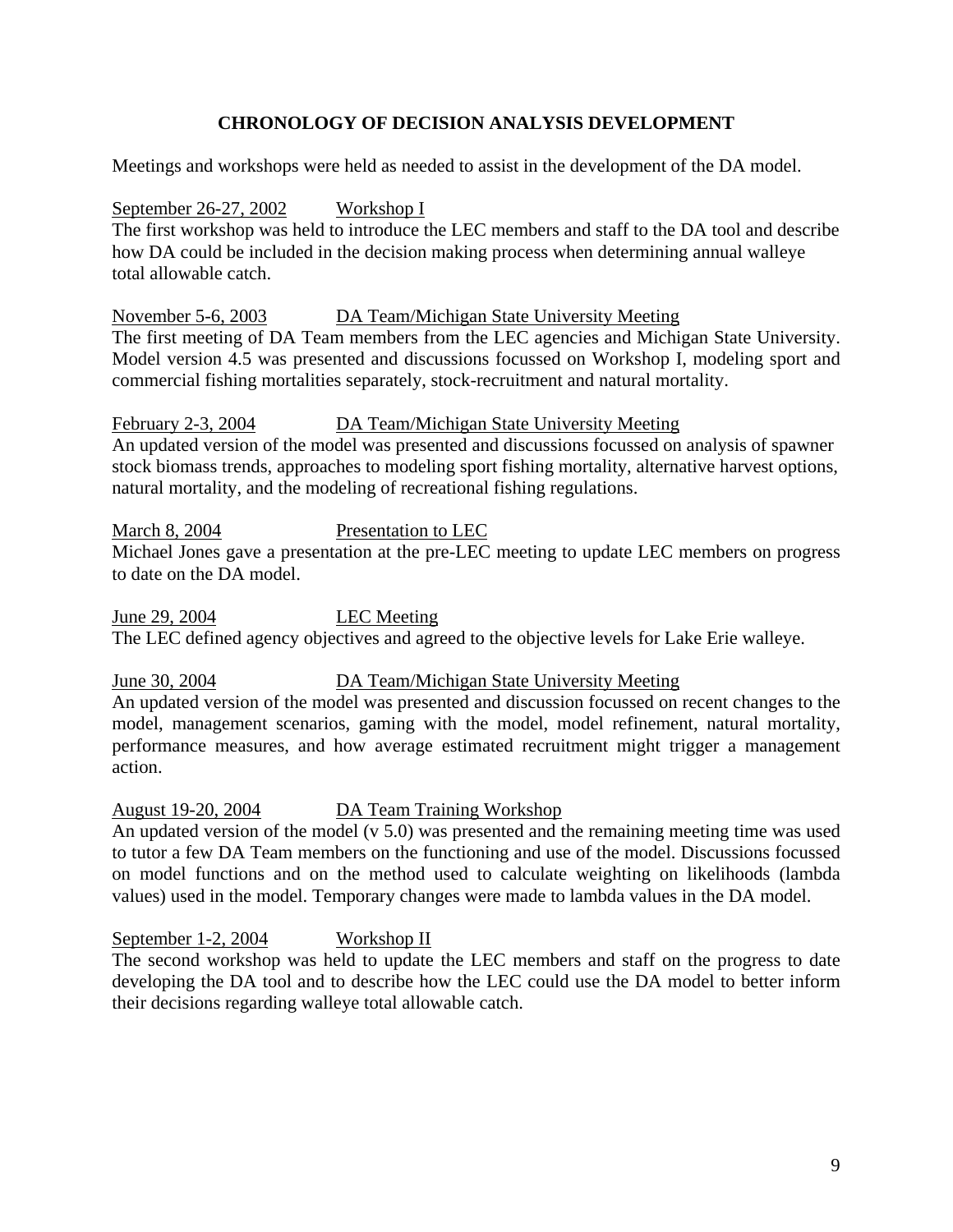# **CHRONOLOGY OF DECISION ANALYSIS DEVELOPMENT**

Meetings and workshops were held as needed to assist in the development of the DA model.

# September 26-27, 2002 Workshop I

The first workshop was held to introduce the LEC members and staff to the DA tool and describe how DA could be included in the decision making process when determining annual walleye total allowable catch.

## November 5-6, 2003 DA Team/Michigan State University Meeting

The first meeting of DA Team members from the LEC agencies and Michigan State University. Model version 4.5 was presented and discussions focussed on Workshop I, modeling sport and commercial fishing mortalities separately, stock-recruitment and natural mortality.

## February 2-3, 2004 DA Team/Michigan State University Meeting

An updated version of the model was presented and discussions focussed on analysis of spawner stock biomass trends, approaches to modeling sport fishing mortality, alternative harvest options, natural mortality, and the modeling of recreational fishing regulations.

March 8, 2004 Presentation to LEC Michael Jones gave a presentation at the pre-LEC meeting to update LEC members on progress to date on the DA model.

June 29, 2004 LEC Meeting The LEC defined agency objectives and agreed to the objective levels for Lake Erie walleye.

## June 30, 2004 DA Team/Michigan State University Meeting

An updated version of the model was presented and discussion focussed on recent changes to the model, management scenarios, gaming with the model, model refinement, natural mortality, performance measures, and how average estimated recruitment might trigger a management action.

# August 19-20, 2004 DA Team Training Workshop

An updated version of the model (v 5.0) was presented and the remaining meeting time was used to tutor a few DA Team members on the functioning and use of the model. Discussions focussed on model functions and on the method used to calculate weighting on likelihoods (lambda values) used in the model. Temporary changes were made to lambda values in the DA model.

## September 1-2, 2004 Workshop II

The second workshop was held to update the LEC members and staff on the progress to date developing the DA tool and to describe how the LEC could use the DA model to better inform their decisions regarding walleye total allowable catch.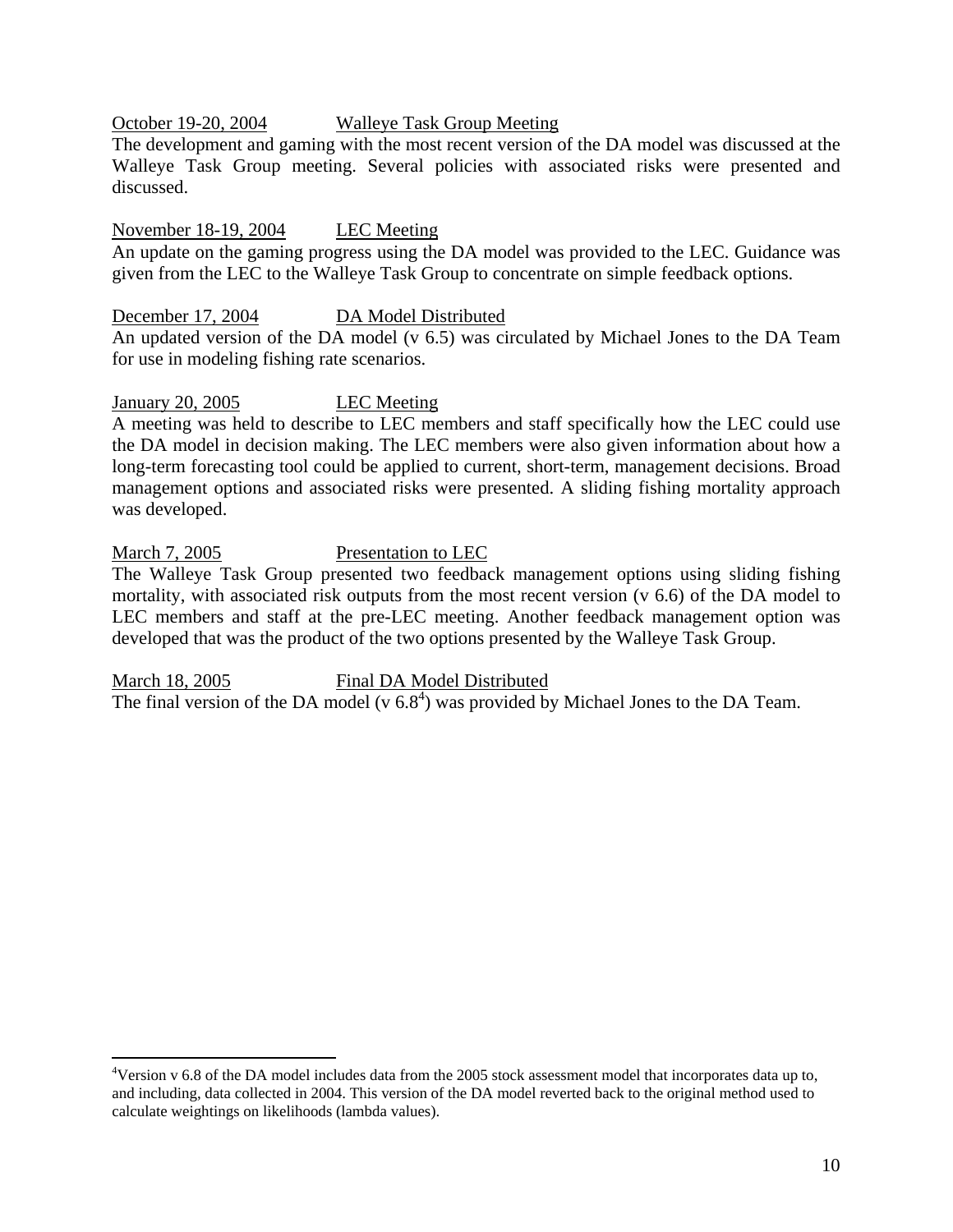## October 19-20, 2004 Walleye Task Group Meeting

The development and gaming with the most recent version of the DA model was discussed at the Walleye Task Group meeting. Several policies with associated risks were presented and discussed.

## November 18-19, 2004 LEC Meeting

An update on the gaming progress using the DA model was provided to the LEC. Guidance was given from the LEC to the Walleye Task Group to concentrate on simple feedback options.

## December 17, 2004 DA Model Distributed

An updated version of the DA model (v 6.5) was circulated by Michael Jones to the DA Team for use in modeling fishing rate scenarios.

# January 20, 2005 LEC Meeting

A meeting was held to describe to LEC members and staff specifically how the LEC could use the DA model in decision making. The LEC members were also given information about how a long-term forecasting tool could be applied to current, short-term, management decisions. Broad management options and associated risks were presented. A sliding fishing mortality approach was developed.

# March 7, 2005 Presentation to LEC

The Walleye Task Group presented two feedback management options using sliding fishing mortality, with associated risk outputs from the most recent version (v 6.6) of the DA model to LEC members and staff at the pre-LEC meeting. Another feedback management option was developed that was the product of the two options presented by the Walleye Task Group.

 $\overline{a}$ 

## March 18, 2005 Final DA Model Distributed

The final version of the DA model ( $v$  6.8<sup>[4](#page-9-0)</sup>) was provided by Michael Jones to the DA Team.

<span id="page-9-0"></span><sup>&</sup>lt;sup>4</sup>Version v 6.8 of the DA model includes data from the 2005 stock assessment model that incorporates data up to, and including, data collected in 2004. This version of the DA model reverted back to the original method used to calculate weightings on likelihoods (lambda values).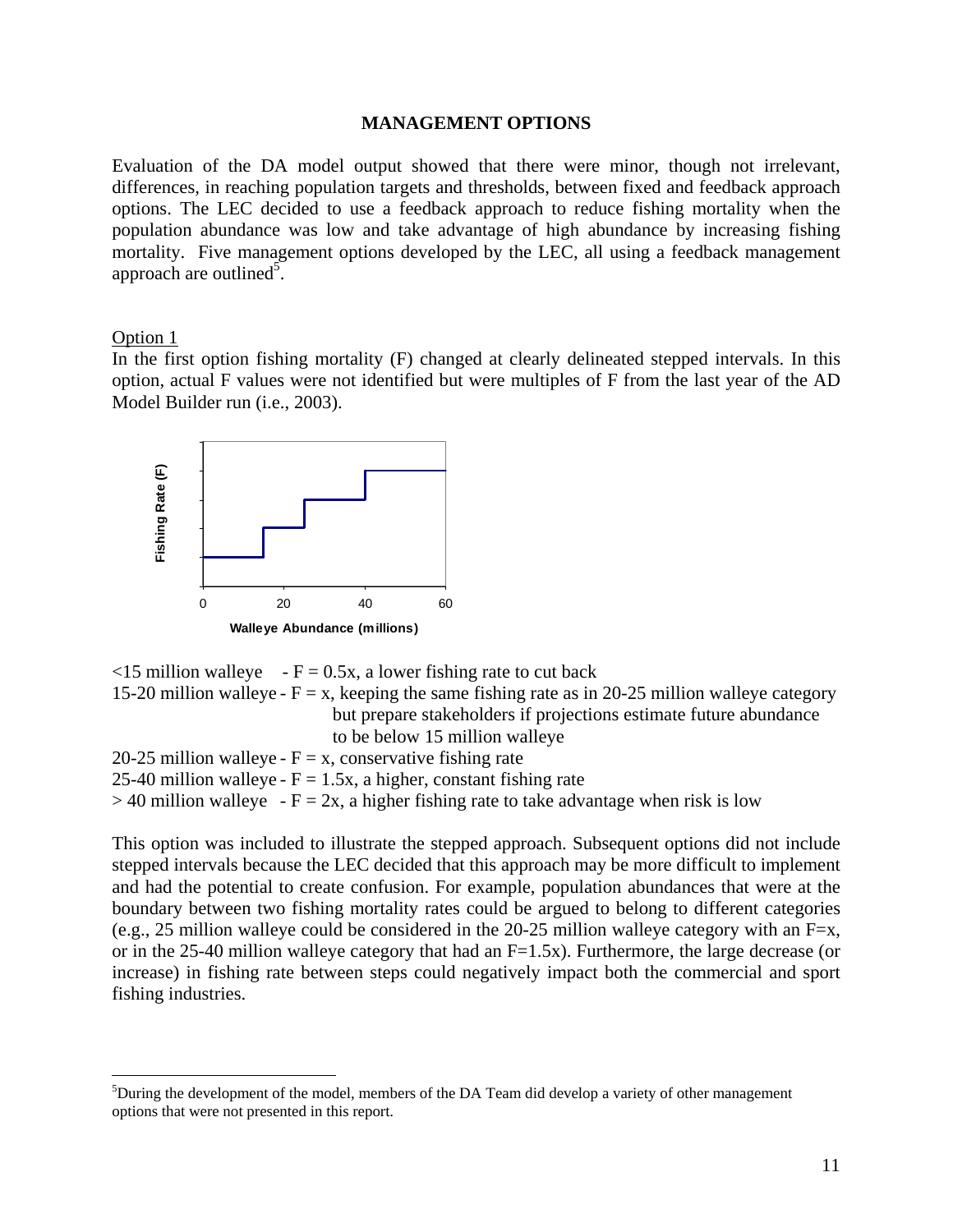#### **MANAGEMENT OPTIONS**

Evaluation of the DA model output showed that there were minor, though not irrelevant, differences, in reaching population targets and thresholds, between fixed and feedback approach options. The LEC decided to use a feedback approach to reduce fishing mortality when the population abundance was low and take advantage of high abundance by increasing fishing mortality. Five management options developed by the LEC, all using a feedback management approach are outlined<sup>5</sup>.

Option 1

 $\overline{a}$ 

In the first option fishing mortality (F) changed at clearly delineated stepped intervals. In this option, actual F values were not identified but were multiples of F from the last year of the AD Model Builder run (i.e., 2003).



 $\le$ 15 million walleye - F = 0.5x, a lower fishing rate to cut back 15-20 million walleye -  $F = x$ , keeping the same fishing rate as in 20-25 million walleye category but prepare stakeholders if projections estimate future abundance to be below 15 million walleye 20-25 million walleye -  $F = x$ , conservative fishing rate 25-40 million walleye -  $F = 1.5x$ , a higher, constant fishing rate  $>$  40 million walleye - F = 2x, a higher fishing rate to take advantage when risk is low

This option was included to illustrate the stepped approach. Subsequent options did not include stepped intervals because the LEC decided that this approach may be more difficult to implement and had the potential to create confusion. For example, population abundances that were at the boundary between two fishing mortality rates could be argued to belong to different categories (e.g., 25 million walleye could be considered in the 20-25 million walleye category with an  $F=x$ , or in the 25-40 million walleye category that had an  $F=1.5x$ ). Furthermore, the large decrease (or increase) in fishing rate between steps could negatively impact both the commercial and sport fishing industries.

<span id="page-10-0"></span><sup>&</sup>lt;sup>5</sup>During the development of the model, members of the DA Team did develop a variety of other management options that were not presented in this report.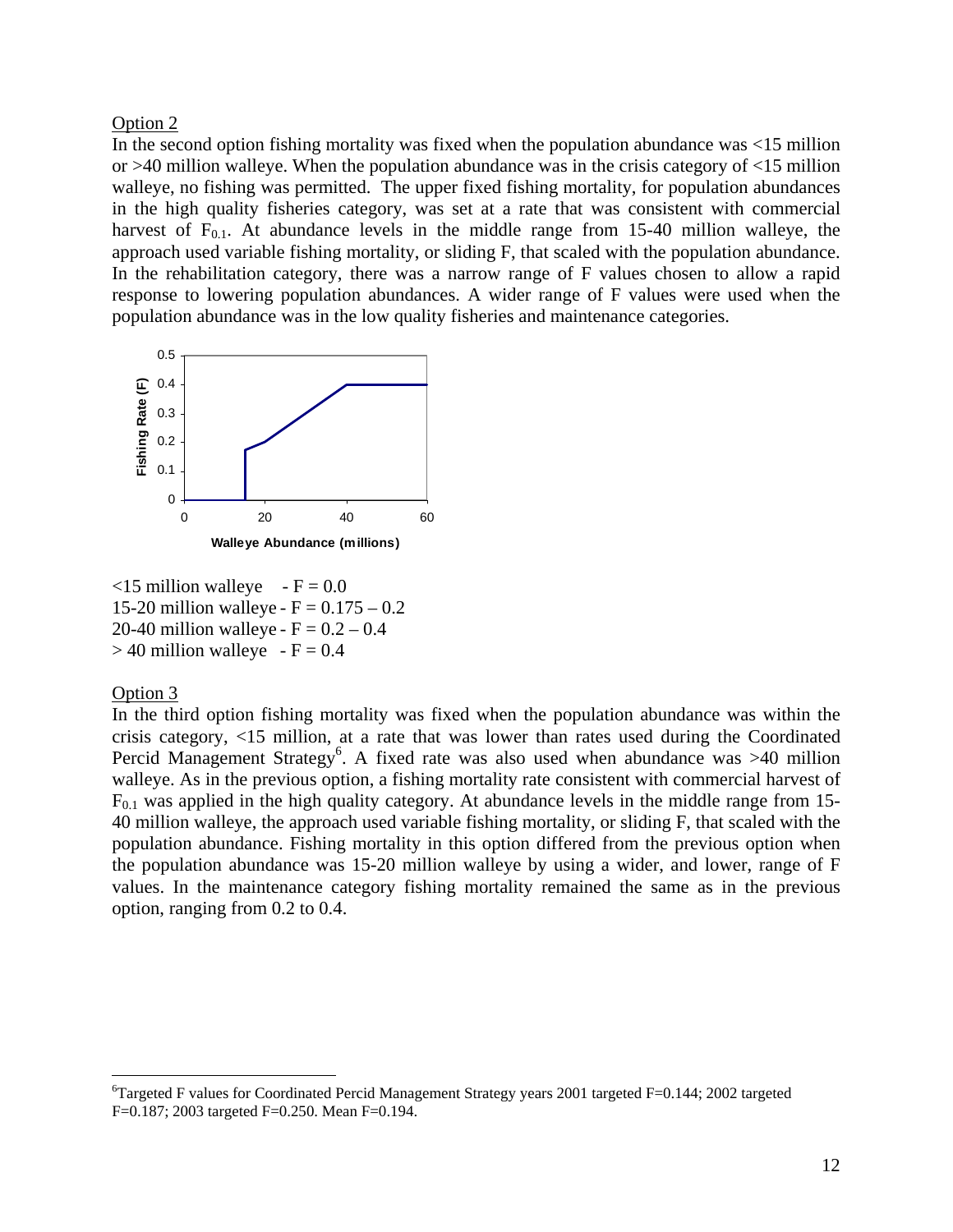Option 2

In the second option fishing mortality was fixed when the population abundance was <15 million or >40 million walleye. When the population abundance was in the crisis category of <15 million walleye, no fishing was permitted. The upper fixed fishing mortality, for population abundances in the high quality fisheries category, was set at a rate that was consistent with commercial harvest of  $F_{0.1}$ . At abundance levels in the middle range from 15-40 million walleye, the approach used variable fishing mortality, or sliding F, that scaled with the population abundance. In the rehabilitation category, there was a narrow range of F values chosen to allow a rapid response to lowering population abundances. A wider range of F values were used when the population abundance was in the low quality fisheries and maintenance categories.



 $\le$ 15 million walleye - F = 0.0 15-20 million walleye -  $F = 0.175 - 0.2$ 20-40 million walleye -  $F = 0.2 - 0.4$  $> 40$  million walleye - F = 0.4

#### Option 3

 $\overline{a}$ 

In the third option fishing mortality was fixed when the population abundance was within the crisis category, <15 million, at a rate that was lower than rates used during the Coordinated Percid Management Strategy<sup>[6](#page-11-0)</sup>. A fixed rate was also used when abundance was  $>40$  million walleye. As in the previous option, a fishing mortality rate consistent with commercial harvest of  $F_{0,1}$  was applied in the high quality category. At abundance levels in the middle range from 15-40 million walleye, the approach used variable fishing mortality, or sliding F, that scaled with the population abundance. Fishing mortality in this option differed from the previous option when the population abundance was 15-20 million walleye by using a wider, and lower, range of F values. In the maintenance category fishing mortality remained the same as in the previous option, ranging from 0.2 to 0.4.

<span id="page-11-0"></span><sup>6</sup> Targeted F values for Coordinated Percid Management Strategy years 2001 targeted F=0.144; 2002 targeted F=0.187; 2003 targeted F=0.250. Mean F=0.194.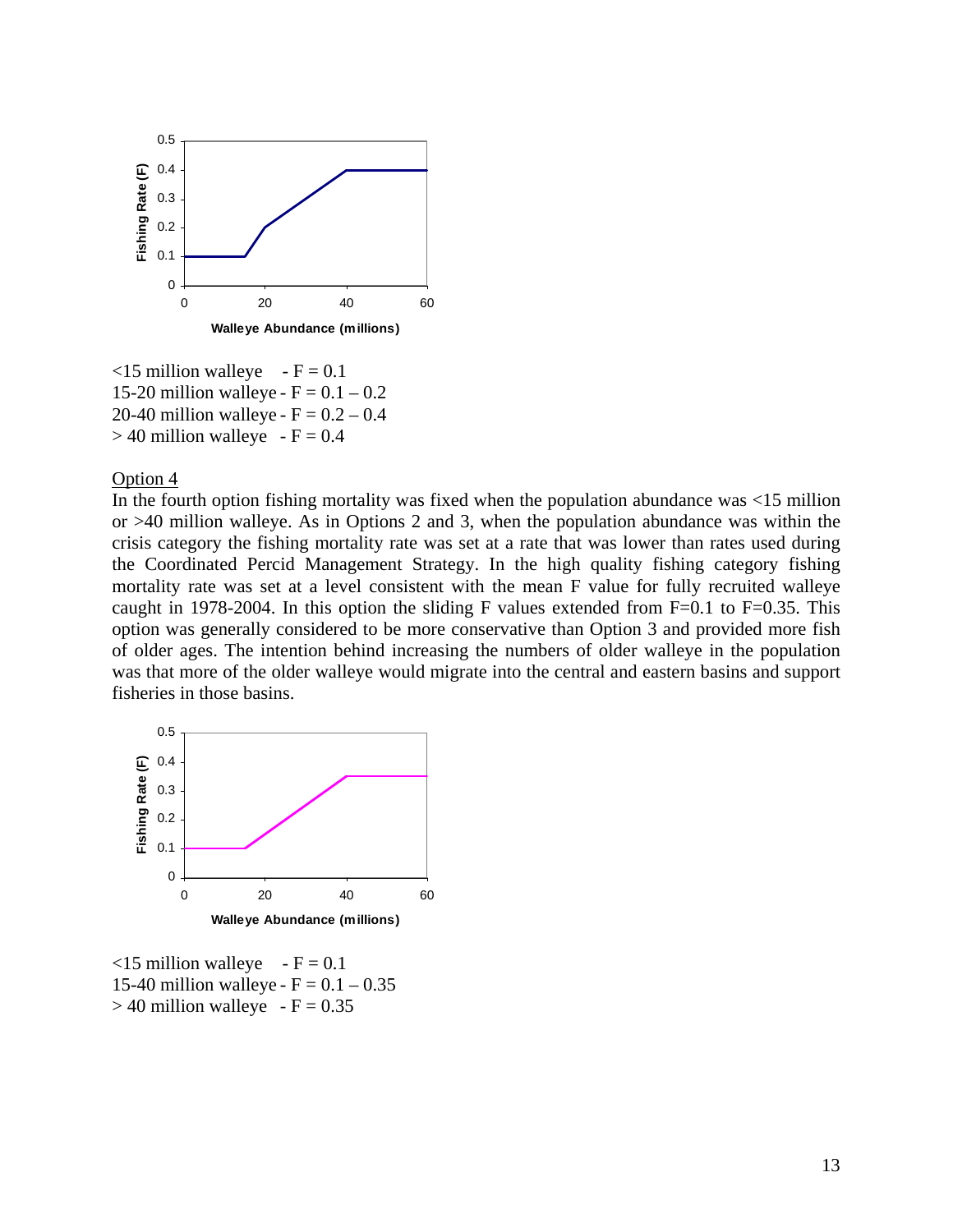

 $<$ 15 million walleye - F = 0.1 15-20 million walleye -  $F = 0.1 - 0.2$ 20-40 million walleye -  $F = 0.2 - 0.4$  $> 40$  million walleye - F = 0.4

#### Option 4

In the fourth option fishing mortality was fixed when the population abundance was <15 million or >40 million walleye. As in Options 2 and 3, when the population abundance was within the crisis category the fishing mortality rate was set at a rate that was lower than rates used during the Coordinated Percid Management Strategy. In the high quality fishing category fishing mortality rate was set at a level consistent with the mean F value for fully recruited walleye caught in 1978-2004. In this option the sliding F values extended from  $F=0.1$  to  $F=0.35$ . This option was generally considered to be more conservative than Option 3 and provided more fish of older ages. The intention behind increasing the numbers of older walleye in the population was that more of the older walleye would migrate into the central and eastern basins and support fisheries in those basins.



 $<$ 15 million walleye - F = 0.1 15-40 million walleye -  $F = 0.1 - 0.35$  $> 40$  million walleye  $-F = 0.35$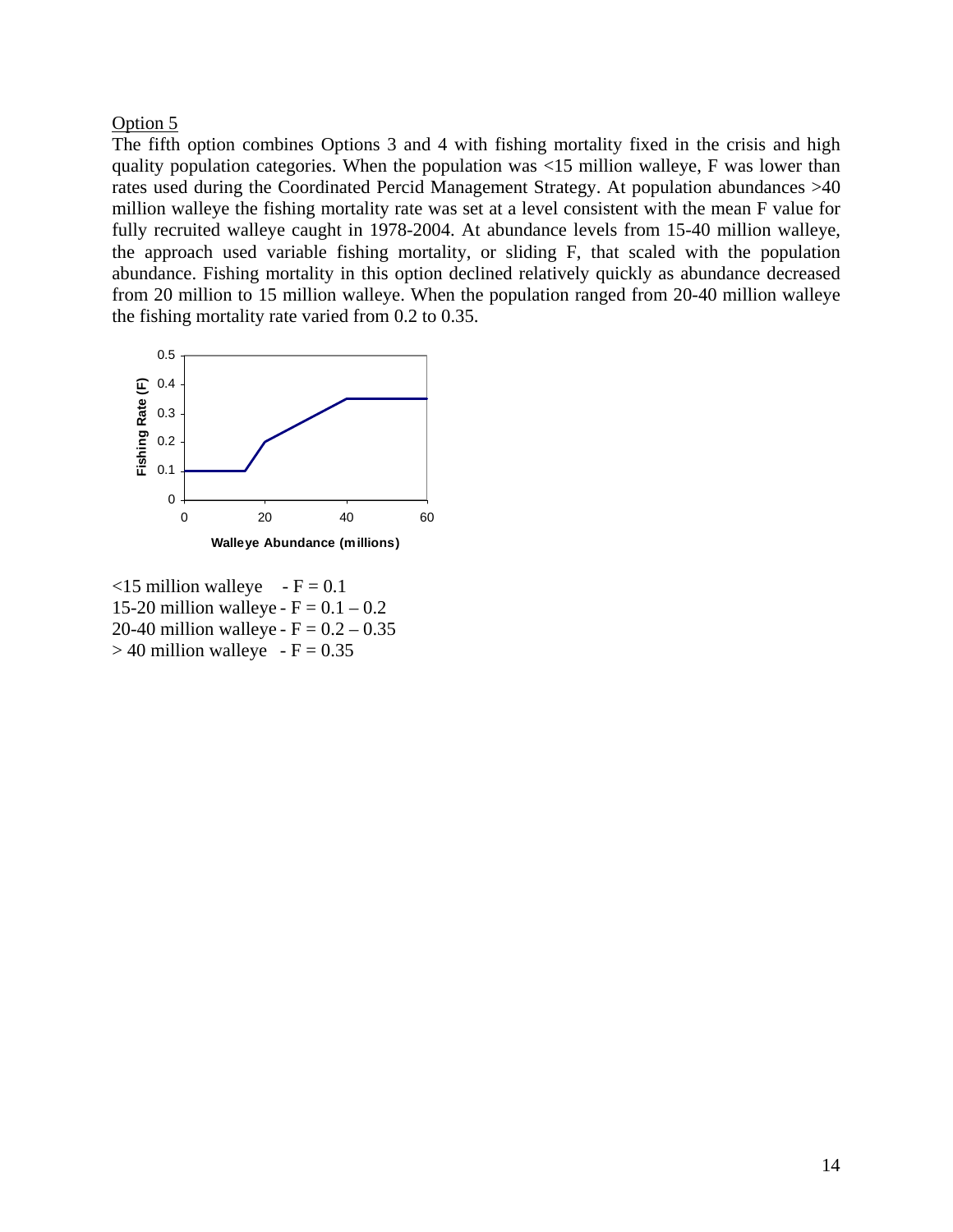#### Option 5

The fifth option combines Options 3 and 4 with fishing mortality fixed in the crisis and high quality population categories. When the population was  $\langle 15 \text{ million}$  walleye, F was lower than rates used during the Coordinated Percid Management Strategy. At population abundances >40 million walleye the fishing mortality rate was set at a level consistent with the mean F value for fully recruited walleye caught in 1978-2004. At abundance levels from 15-40 million walleye, the approach used variable fishing mortality, or sliding F, that scaled with the population abundance. Fishing mortality in this option declined relatively quickly as abundance decreased from 20 million to 15 million walleye. When the population ranged from 20-40 million walleye the fishing mortality rate varied from 0.2 to 0.35.



 $\le$ 15 million walleye - F = 0.1 15-20 million walleye -  $F = 0.1 - 0.2$ 20-40 million walleye -  $F = 0.2 - 0.35$  $> 40$  million walleye  $-F = 0.35$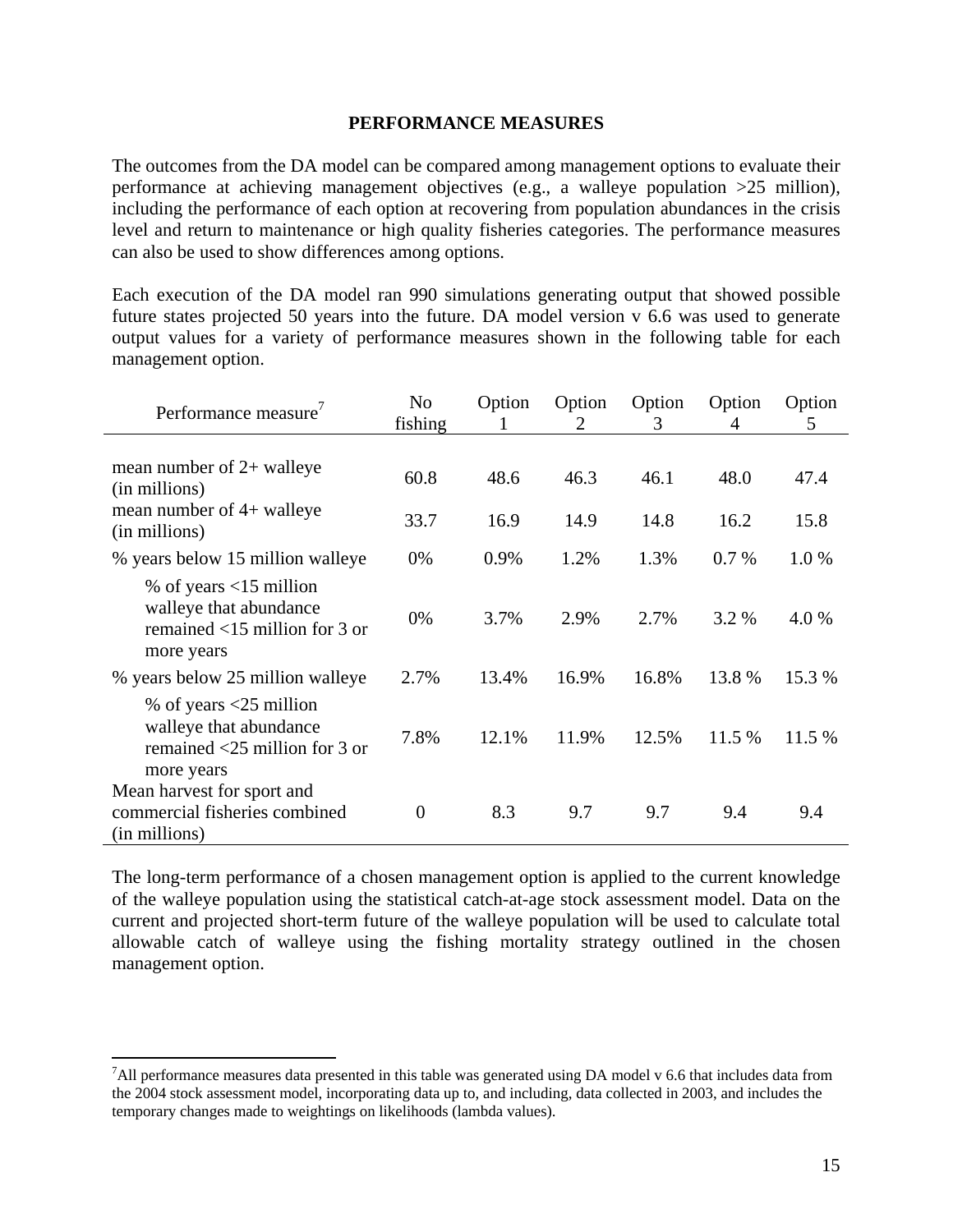#### **PERFORMANCE MEASURES**

The outcomes from the DA model can be compared among management options to evaluate their performance at achieving management objectives (e.g., a walleye population  $>25$  million), including the performance of each option at recovering from population abundances in the crisis level and return to maintenance or high quality fisheries categories. The performance measures can also be used to show differences among options.

Each execution of the DA model ran 990 simulations generating output that showed possible future states projected 50 years into the future. DA model version v 6.6 was used to generate output values for a variety of performance measures shown in the following table for each management option.

| Performance measure'                                                                                     | N <sub>0</sub><br>fishing | Option | Option<br>2 | Option<br>3 | Option<br>4 | Option<br>5 |
|----------------------------------------------------------------------------------------------------------|---------------------------|--------|-------------|-------------|-------------|-------------|
| mean number of $2+$ walleye<br>(in millions)                                                             | 60.8                      | 48.6   | 46.3        | 46.1        | 48.0        | 47.4        |
| mean number of 4+ walleye<br>(in millions)                                                               | 33.7                      | 16.9   | 14.9        | 14.8        | 16.2        | 15.8        |
| % years below 15 million walleye                                                                         | 0%                        | 0.9%   | 1.2%        | 1.3%        | 0.7%        | 1.0%        |
| % of years $\leq 15$ million<br>walleye that abundance<br>remained $<$ 15 million for 3 or<br>more years | 0%                        | 3.7%   | 2.9%        | 2.7%        | 3.2 %       | 4.0%        |
| % years below 25 million walleye                                                                         | 2.7%                      | 13.4%  | 16.9%       | 16.8%       | 13.8 %      | 15.3 %      |
| % of years $\leq$ 25 million<br>walleye that abundance<br>remained $<$ 25 million for 3 or<br>more years | 7.8%                      | 12.1%  | 11.9%       | 12.5%       | 11.5 %      | 11.5 %      |
| Mean harvest for sport and<br>commercial fisheries combined<br>(in millions)                             | $\overline{0}$            | 8.3    | 9.7         | 9.7         | 9.4         | 9.4         |

The long-term performance of a chosen management option is applied to the current knowledge of the walleye population using the statistical catch-at-age stock assessment model. Data on the current and projected short-term future of the walleye population will be used to calculate total allowable catch of walleye using the fishing mortality strategy outlined in the chosen management option.

 $\overline{a}$ 

<span id="page-14-0"></span> $^7$ All performance measures data presented in this table was generated using DA model v 6.6 that includes data from the 2004 stock assessment model, incorporating data up to, and including, data collected in 2003, and includes the temporary changes made to weightings on likelihoods (lambda values).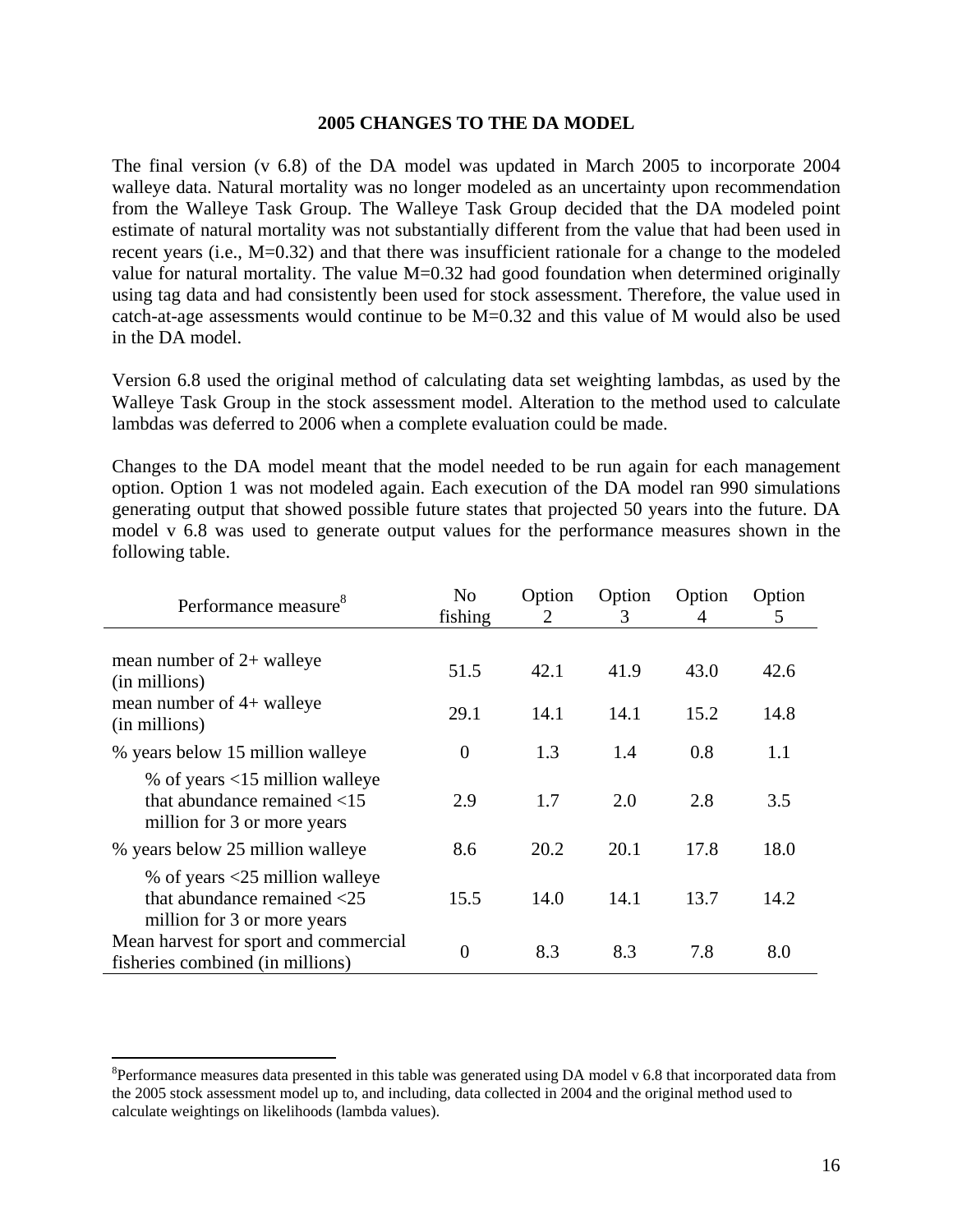#### **2005 CHANGES TO THE DA MODEL**

The final version (v 6.8) of the DA model was updated in March 2005 to incorporate 2004 walleye data. Natural mortality was no longer modeled as an uncertainty upon recommendation from the Walleye Task Group. The Walleye Task Group decided that the DA modeled point estimate of natural mortality was not substantially different from the value that had been used in recent years (i.e., M=0.32) and that there was insufficient rationale for a change to the modeled value for natural mortality. The value M=0.32 had good foundation when determined originally using tag data and had consistently been used for stock assessment. Therefore, the value used in catch-at-age assessments would continue to be M=0.32 and this value of M would also be used in the DA model.

Version 6.8 used the original method of calculating data set weighting lambdas, as used by the Walleye Task Group in the stock assessment model. Alteration to the method used to calculate lambdas was deferred to 2006 when a complete evaluation could be made.

Changes to the DA model meant that the model needed to be run again for each management option. Option 1 was not modeled again. Each execution of the DA model ran 990 simulations generating output that showed possible future states that projected 50 years into the future. DA model v 6.8 was used to generate output values for the performance measures shown in the following table.

| Performance measure <sup>8</sup>                                                                                 | No             | Option | Option | Option | Option |
|------------------------------------------------------------------------------------------------------------------|----------------|--------|--------|--------|--------|
|                                                                                                                  | fishing        | 2      | 3      | 4      | 5      |
|                                                                                                                  |                |        |        |        |        |
| mean number of $2+$ walleye<br>(in millions)                                                                     | 51.5           | 42.1   | 41.9   | 43.0   | 42.6   |
| mean number of 4+ walleye<br>(in millions)                                                                       | 29.1           | 14.1   | 14.1   | 15.2   | 14.8   |
| % years below 15 million walleye                                                                                 | $\overline{0}$ | 1.3    | 1.4    | 0.8    | 1.1    |
| % of years $<$ 15 million walleye<br>that abundance remained $<$ 15<br>million for 3 or more years               | 2.9            | 1.7    | 2.0    | 2.8    | 3.5    |
| % years below 25 million walleye                                                                                 | 8.6            | 20.2   | 20.1   | 17.8   | 18.0   |
| % of years $\langle 25 \rangle$ million walleye<br>that abundance remained $<$ 25<br>million for 3 or more years | 15.5           | 14.0   | 14.1   | 13.7   | 14.2   |
| Mean harvest for sport and commercial<br>fisheries combined (in millions)                                        | $\theta$       | 8.3    | 8.3    | 7.8    | 8.0    |

 $\overline{a}$ 

<span id="page-15-0"></span> ${}^{8}$ Performance measures data presented in this table was generated using DA model v 6.8 that incorporated data from the 2005 stock assessment model up to, and including, data collected in 2004 and the original method used to calculate weightings on likelihoods (lambda values).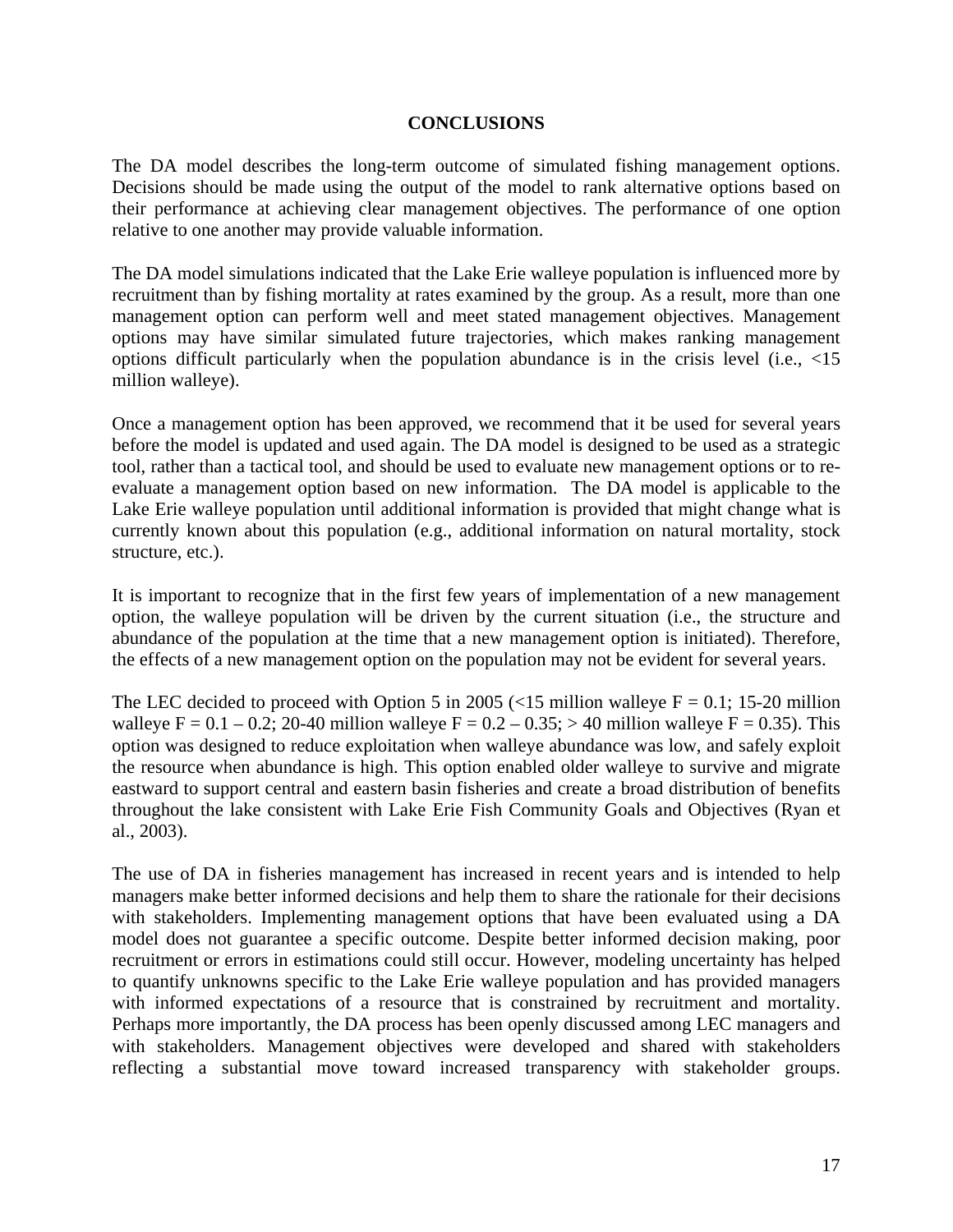#### **CONCLUSIONS**

The DA model describes the long-term outcome of simulated fishing management options. Decisions should be made using the output of the model to rank alternative options based on their performance at achieving clear management objectives. The performance of one option relative to one another may provide valuable information.

The DA model simulations indicated that the Lake Erie walleye population is influenced more by recruitment than by fishing mortality at rates examined by the group. As a result, more than one management option can perform well and meet stated management objectives. Management options may have similar simulated future trajectories, which makes ranking management options difficult particularly when the population abundance is in the crisis level (i.e., <15 million walleye).

Once a management option has been approved, we recommend that it be used for several years before the model is updated and used again. The DA model is designed to be used as a strategic tool, rather than a tactical tool, and should be used to evaluate new management options or to reevaluate a management option based on new information. The DA model is applicable to the Lake Erie walleye population until additional information is provided that might change what is currently known about this population (e.g., additional information on natural mortality, stock structure, etc.).

It is important to recognize that in the first few years of implementation of a new management option, the walleye population will be driven by the current situation (i.e., the structure and abundance of the population at the time that a new management option is initiated). Therefore, the effects of a new management option on the population may not be evident for several years.

The LEC decided to proceed with Option 5 in 2005 (<15 million walleye  $F = 0.1$ ; 15-20 million walleye F = 0.1 – 0.2; 20-40 million walleye F = 0.2 – 0.35; > 40 million walleye F = 0.35). This option was designed to reduce exploitation when walleye abundance was low, and safely exploit the resource when abundance is high. This option enabled older walleye to survive and migrate eastward to support central and eastern basin fisheries and create a broad distribution of benefits throughout the lake consistent with Lake Erie Fish Community Goals and Objectives (Ryan et al., 2003).

The use of DA in fisheries management has increased in recent years and is intended to help managers make better informed decisions and help them to share the rationale for their decisions with stakeholders. Implementing management options that have been evaluated using a DA model does not guarantee a specific outcome. Despite better informed decision making, poor recruitment or errors in estimations could still occur. However, modeling uncertainty has helped to quantify unknowns specific to the Lake Erie walleye population and has provided managers with informed expectations of a resource that is constrained by recruitment and mortality. Perhaps more importantly, the DA process has been openly discussed among LEC managers and with stakeholders. Management objectives were developed and shared with stakeholders reflecting a substantial move toward increased transparency with stakeholder groups.